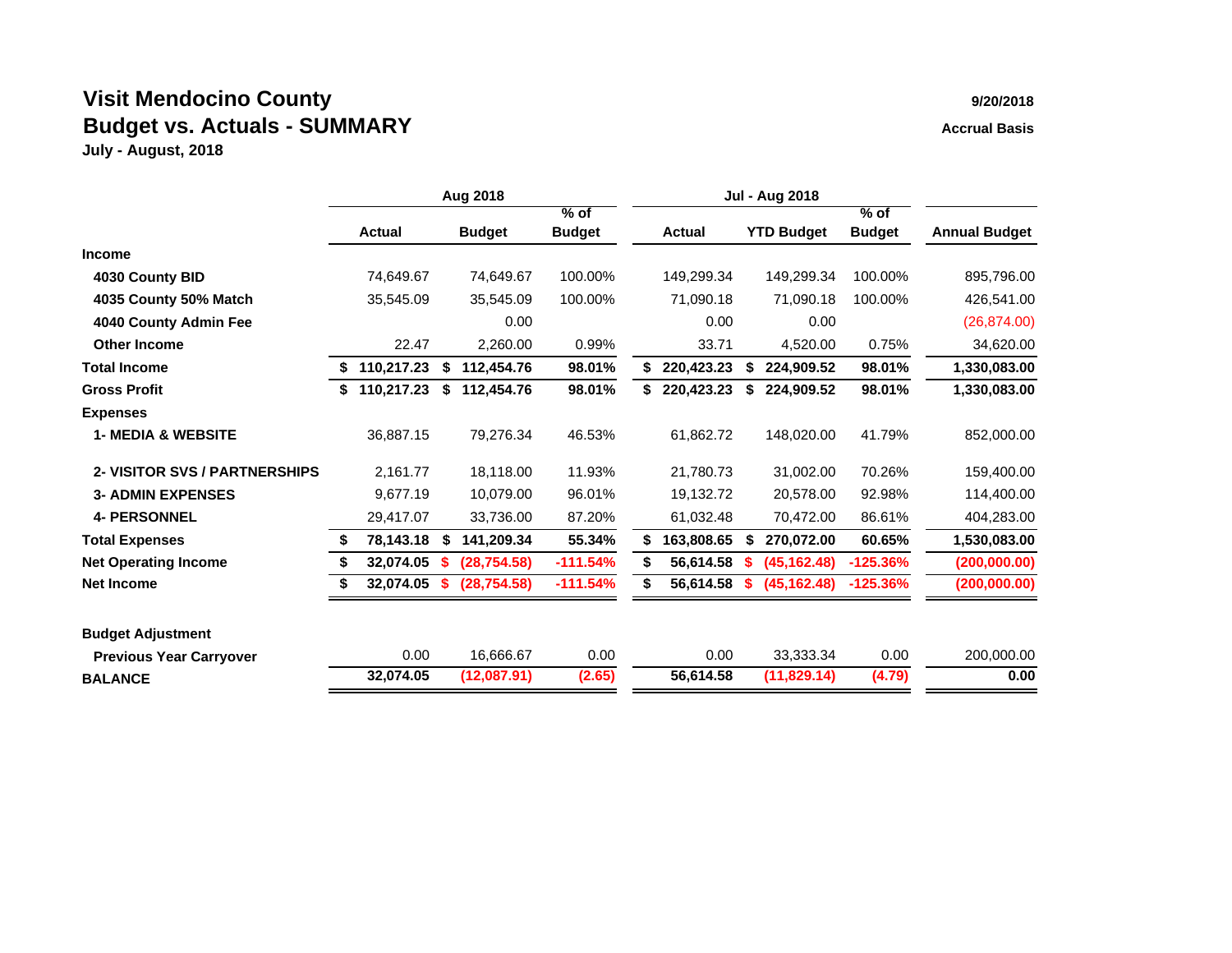## **Visit Mendocino County 9/20/2018 Budget vs. Actuals - SUMMARY Accrual Basis Accrual Basis**

|                                |    |               | Aug 2018 |               |               | <b>Jul - Aug 2018</b> |               |    |                   |               |                      |
|--------------------------------|----|---------------|----------|---------------|---------------|-----------------------|---------------|----|-------------------|---------------|----------------------|
|                                |    |               |          |               | $%$ of        |                       |               |    |                   | $%$ of        |                      |
|                                |    | <b>Actual</b> |          | <b>Budget</b> | <b>Budget</b> |                       | <b>Actual</b> |    | <b>YTD Budget</b> | <b>Budget</b> | <b>Annual Budget</b> |
| <b>Income</b>                  |    |               |          |               |               |                       |               |    |                   |               |                      |
| 4030 County BID                |    | 74,649.67     |          | 74,649.67     | 100.00%       |                       | 149,299.34    |    | 149,299.34        | 100.00%       | 895,796.00           |
| 4035 County 50% Match          |    | 35,545.09     |          | 35,545.09     | 100.00%       |                       | 71,090.18     |    | 71,090.18         | 100.00%       | 426,541.00           |
| 4040 County Admin Fee          |    |               |          | 0.00          |               |                       | 0.00          |    | 0.00              |               | (26, 874.00)         |
| <b>Other Income</b>            |    | 22.47         |          | 2,260.00      | 0.99%         |                       | 33.71         |    | 4,520.00          | 0.75%         | 34,620.00            |
| <b>Total Income</b>            | \$ | 110,217.23    | \$       | 112,454.76    | 98.01%        | \$                    | 220,423.23    | \$ | 224,909.52        | 98.01%        | 1,330,083.00         |
| <b>Gross Profit</b>            |    | 110,217.23    | \$       | 112,454.76    | 98.01%        | S.                    | 220,423.23    | S  | 224,909.52        | 98.01%        | 1,330,083.00         |
| <b>Expenses</b>                |    |               |          |               |               |                       |               |    |                   |               |                      |
| <b>1- MEDIA &amp; WEBSITE</b>  |    | 36,887.15     |          | 79,276.34     | 46.53%        |                       | 61,862.72     |    | 148,020.00        | 41.79%        | 852,000.00           |
| 2- VISITOR SVS / PARTNERSHIPS  |    | 2,161.77      |          | 18.118.00     | 11.93%        |                       | 21,780.73     |    | 31,002.00         | 70.26%        | 159,400.00           |
| <b>3- ADMIN EXPENSES</b>       |    | 9,677.19      |          | 10,079.00     | 96.01%        |                       | 19,132.72     |    | 20,578.00         | 92.98%        | 114,400.00           |
| <b>4- PERSONNEL</b>            |    | 29,417.07     |          | 33,736.00     | 87.20%        |                       | 61,032.48     |    | 70,472.00         | 86.61%        | 404,283.00           |
| <b>Total Expenses</b>          | S  | 78,143.18     | S        | 141,209.34    | 55.34%        | S.                    | 163,808.65    | S  | 270,072.00        | 60.65%        | 1,530,083.00         |
| <b>Net Operating Income</b>    | S  | 32,074.05     |          | (28, 754.58)  | $-111.54%$    | \$                    | 56,614.58     |    | (45, 162.48)      | $-125.36%$    | (200, 000.00)        |
| <b>Net Income</b>              |    | 32,074.05     |          | (28,754.58)   | $-111.54%$    | \$                    | 56,614.58     |    | (45, 162.48)      | $-125.36%$    | (200, 000.00)        |
| <b>Budget Adjustment</b>       |    |               |          |               |               |                       |               |    |                   |               |                      |
| <b>Previous Year Carryover</b> |    | 0.00          |          | 16,666.67     | 0.00          |                       | 0.00          |    | 33,333.34         | 0.00          | 200,000.00           |
| <b>BALANCE</b>                 |    | 32,074.05     |          | (12,087.91)   | (2.65)        |                       | 56,614.58     |    | (11, 829.14)      | (4.79)        | 0.00                 |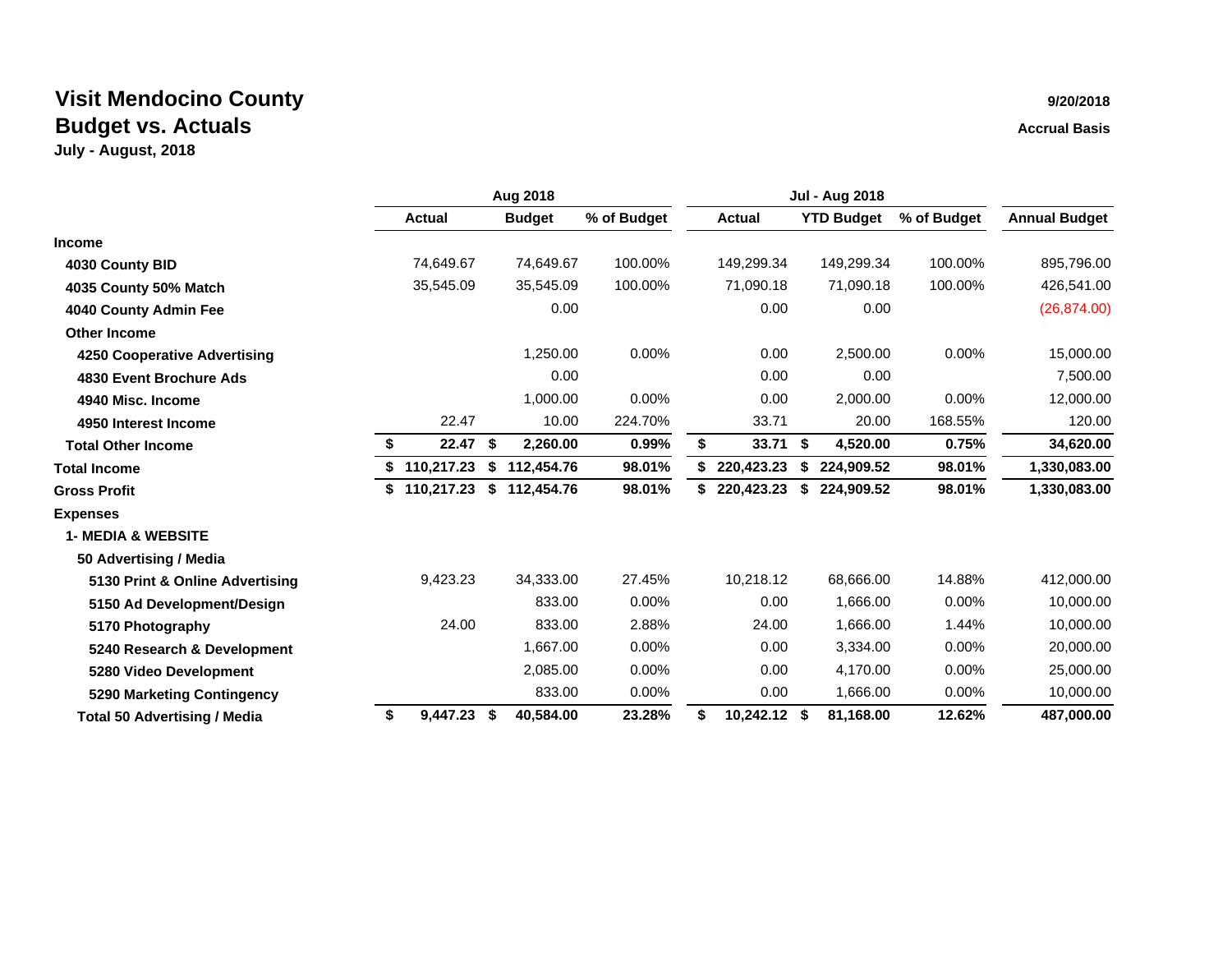|                                     | Aug 2018 |               |      |               |             |    | <b>Jul - Aug 2018</b> |    |                   |             |                      |
|-------------------------------------|----------|---------------|------|---------------|-------------|----|-----------------------|----|-------------------|-------------|----------------------|
|                                     |          | <b>Actual</b> |      | <b>Budget</b> | % of Budget |    | <b>Actual</b>         |    | <b>YTD Budget</b> | % of Budget | <b>Annual Budget</b> |
| <b>Income</b>                       |          |               |      |               |             |    |                       |    |                   |             |                      |
| 4030 County BID                     |          | 74,649.67     |      | 74.649.67     | 100.00%     |    | 149,299.34            |    | 149,299.34        | 100.00%     | 895,796.00           |
| 4035 County 50% Match               |          | 35,545.09     |      | 35,545.09     | 100.00%     |    | 71,090.18             |    | 71,090.18         | 100.00%     | 426,541.00           |
| 4040 County Admin Fee               |          |               |      | 0.00          |             |    | 0.00                  |    | 0.00              |             | (26, 874.00)         |
| <b>Other Income</b>                 |          |               |      |               |             |    |                       |    |                   |             |                      |
| 4250 Cooperative Advertising        |          |               |      | 1,250.00      | 0.00%       |    | 0.00                  |    | 2,500.00          | 0.00%       | 15,000.00            |
| 4830 Event Brochure Ads             |          |               |      | 0.00          |             |    | 0.00                  |    | 0.00              |             | 7,500.00             |
| 4940 Misc. Income                   |          |               |      | 1,000.00      | 0.00%       |    | 0.00                  |    | 2,000.00          | 0.00%       | 12,000.00            |
| 4950 Interest Income                |          | 22.47         |      | 10.00         | 224.70%     |    | 33.71                 |    | 20.00             | 168.55%     | 120.00               |
| <b>Total Other Income</b>           | \$       | 22.47         | \$   | 2,260.00      | 0.99%       | \$ | 33.71                 | \$ | 4,520.00          | 0.75%       | 34,620.00            |
| <b>Total Income</b>                 |          | 110,217.23    | \$   | 112,454.76    | 98.01%      |    | 220,423.23            |    | 224,909.52        | 98.01%      | 1,330,083.00         |
| <b>Gross Profit</b>                 | \$       | 110,217.23    | \$   | 112,454.76    | 98.01%      |    | 220,423.23            | S  | 224,909.52        | 98.01%      | 1,330,083.00         |
| <b>Expenses</b>                     |          |               |      |               |             |    |                       |    |                   |             |                      |
| <b>1- MEDIA &amp; WEBSITE</b>       |          |               |      |               |             |    |                       |    |                   |             |                      |
| 50 Advertising / Media              |          |               |      |               |             |    |                       |    |                   |             |                      |
| 5130 Print & Online Advertising     |          | 9,423.23      |      | 34,333.00     | 27.45%      |    | 10,218.12             |    | 68,666.00         | 14.88%      | 412,000.00           |
| 5150 Ad Development/Design          |          |               |      | 833.00        | 0.00%       |    | 0.00                  |    | 1,666.00          | $0.00\%$    | 10,000.00            |
| 5170 Photography                    |          | 24.00         |      | 833.00        | 2.88%       |    | 24.00                 |    | 1,666.00          | 1.44%       | 10,000.00            |
| 5240 Research & Development         |          |               |      | 1,667.00      | 0.00%       |    | 0.00                  |    | 3,334.00          | 0.00%       | 20,000.00            |
| 5280 Video Development              |          |               |      | 2,085.00      | 0.00%       |    | 0.00                  |    | 4,170.00          | 0.00%       | 25,000.00            |
| 5290 Marketing Contingency          |          |               |      | 833.00        | 0.00%       |    | 0.00                  |    | 1,666.00          | 0.00%       | 10,000.00            |
| <b>Total 50 Advertising / Media</b> | \$       | 9,447.23      | - \$ | 40,584.00     | 23.28%      | \$ | 10,242.12 \$          |    | 81,168.00         | 12.62%      | 487,000.00           |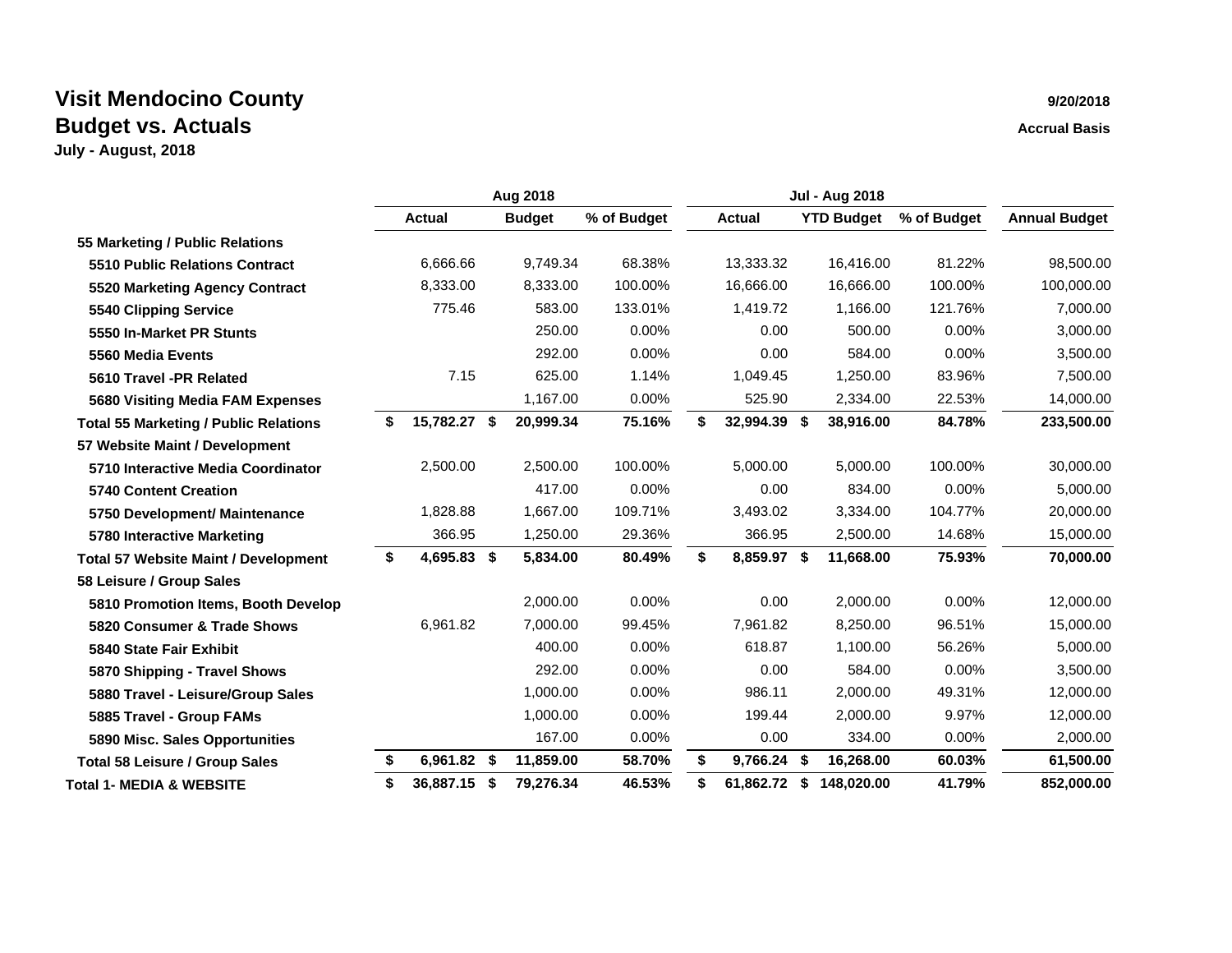|                                              | Aug 2018 |               |    |               |             | <b>Jul - Aug 2018</b> |    |                   |             |                      |
|----------------------------------------------|----------|---------------|----|---------------|-------------|-----------------------|----|-------------------|-------------|----------------------|
|                                              |          | <b>Actual</b> |    | <b>Budget</b> | % of Budget | <b>Actual</b>         |    | <b>YTD Budget</b> | % of Budget | <b>Annual Budget</b> |
| 55 Marketing / Public Relations              |          |               |    |               |             |                       |    |                   |             |                      |
| 5510 Public Relations Contract               |          | 6,666.66      |    | 9,749.34      | 68.38%      | 13,333.32             |    | 16,416.00         | 81.22%      | 98,500.00            |
| 5520 Marketing Agency Contract               |          | 8,333.00      |    | 8,333.00      | 100.00%     | 16,666.00             |    | 16,666.00         | 100.00%     | 100,000.00           |
| 5540 Clipping Service                        |          | 775.46        |    | 583.00        | 133.01%     | 1,419.72              |    | 1,166.00          | 121.76%     | 7,000.00             |
| 5550 In-Market PR Stunts                     |          |               |    | 250.00        | 0.00%       | 0.00                  |    | 500.00            | 0.00%       | 3,000.00             |
| 5560 Media Events                            |          |               |    | 292.00        | 0.00%       | 0.00                  |    | 584.00            | 0.00%       | 3,500.00             |
| 5610 Travel -PR Related                      |          | 7.15          |    | 625.00        | 1.14%       | 1,049.45              |    | 1,250.00          | 83.96%      | 7,500.00             |
| <b>5680 Visiting Media FAM Expenses</b>      |          |               |    | 1,167.00      | 0.00%       | 525.90                |    | 2,334.00          | 22.53%      | 14,000.00            |
| <b>Total 55 Marketing / Public Relations</b> | S        | 15,782.27 \$  |    | 20,999.34     | 75.16%      | \$<br>32,994.39 \$    |    | 38,916.00         | 84.78%      | 233,500.00           |
| 57 Website Maint / Development               |          |               |    |               |             |                       |    |                   |             |                      |
| 5710 Interactive Media Coordinator           |          | 2,500.00      |    | 2,500.00      | 100.00%     | 5,000.00              |    | 5,000.00          | 100.00%     | 30,000.00            |
| <b>5740 Content Creation</b>                 |          |               |    | 417.00        | 0.00%       | 0.00                  |    | 834.00            | 0.00%       | 5,000.00             |
| 5750 Development/ Maintenance                |          | 1,828.88      |    | 1,667.00      | 109.71%     | 3,493.02              |    | 3,334.00          | 104.77%     | 20,000.00            |
| 5780 Interactive Marketing                   |          | 366.95        |    | 1,250.00      | 29.36%      | 366.95                |    | 2,500.00          | 14.68%      | 15,000.00            |
| <b>Total 57 Website Maint / Development</b>  | \$       | 4,695.83 \$   |    | 5,834.00      | 80.49%      | \$<br>8,859.97 \$     |    | 11,668.00         | 75.93%      | 70,000.00            |
| 58 Leisure / Group Sales                     |          |               |    |               |             |                       |    |                   |             |                      |
| 5810 Promotion Items, Booth Develop          |          |               |    | 2,000.00      | 0.00%       | 0.00                  |    | 2,000.00          | 0.00%       | 12,000.00            |
| 5820 Consumer & Trade Shows                  |          | 6,961.82      |    | 7,000.00      | 99.45%      | 7,961.82              |    | 8,250.00          | 96.51%      | 15,000.00            |
| 5840 State Fair Exhibit                      |          |               |    | 400.00        | $0.00\%$    | 618.87                |    | 1,100.00          | 56.26%      | 5,000.00             |
| 5870 Shipping - Travel Shows                 |          |               |    | 292.00        | $0.00\%$    | 0.00                  |    | 584.00            | 0.00%       | 3,500.00             |
| 5880 Travel - Leisure/Group Sales            |          |               |    | 1,000.00      | $0.00\%$    | 986.11                |    | 2,000.00          | 49.31%      | 12,000.00            |
| 5885 Travel - Group FAMs                     |          |               |    | 1,000.00      | 0.00%       | 199.44                |    | 2,000.00          | 9.97%       | 12,000.00            |
| 5890 Misc. Sales Opportunities               |          |               |    | 167.00        | 0.00%       | 0.00                  |    | 334.00            | 0.00%       | 2,000.00             |
| <b>Total 58 Leisure / Group Sales</b>        | \$       | 6,961.82 \$   |    | 11,859.00     | 58.70%      | \$<br>9,766.24 \$     |    | 16,268.00         | 60.03%      | 61,500.00            |
| <b>Total 1- MEDIA &amp; WEBSITE</b>          | \$       | 36,887.15     | -S | 79,276.34     | 46.53%      | \$<br>61,862.72       | S. | 148.020.00        | 41.79%      | 852,000.00           |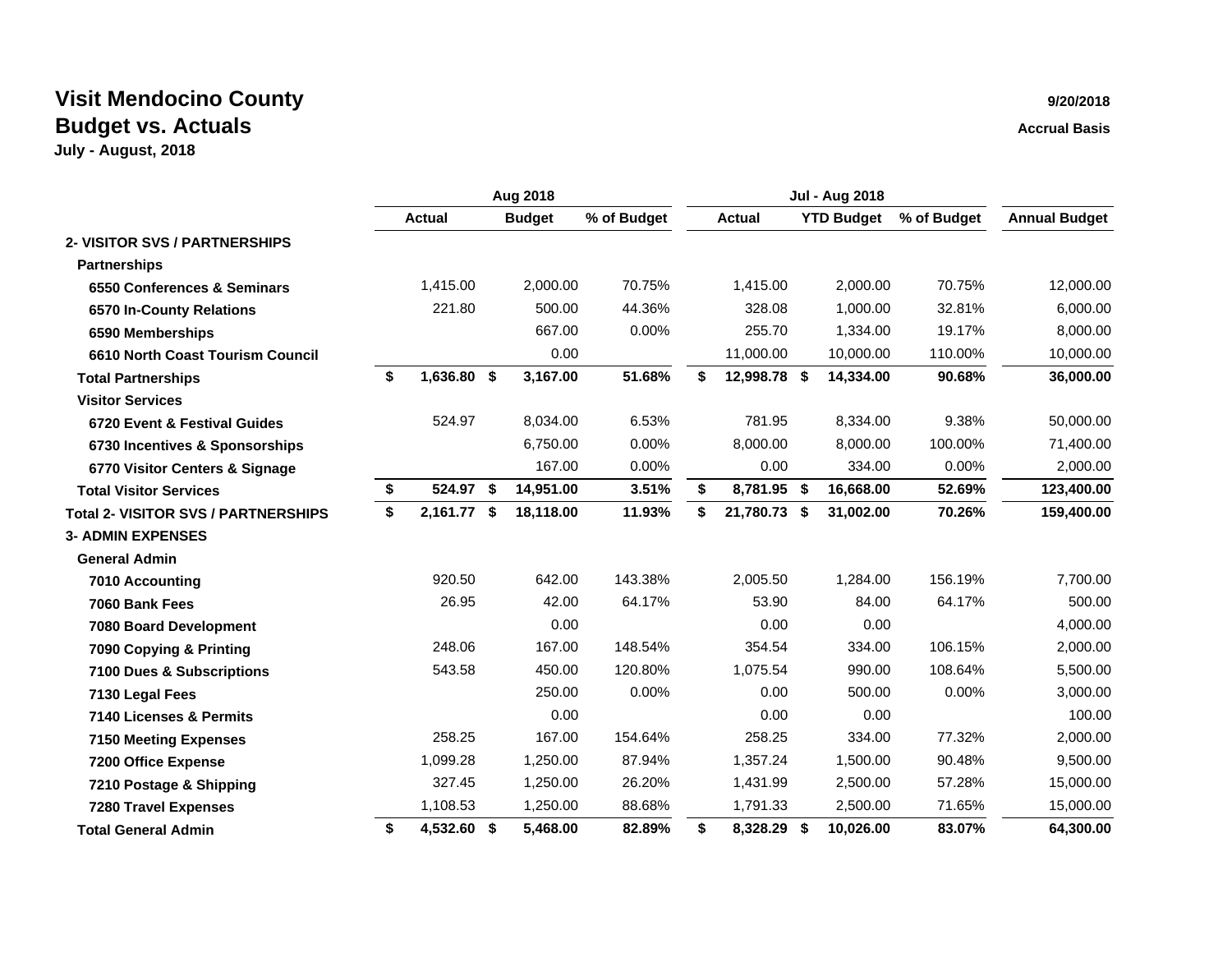|                                            | Aug 2018 |               |  |               |             | <b>Jul - Aug 2018</b> |               |     |                   |             |                      |
|--------------------------------------------|----------|---------------|--|---------------|-------------|-----------------------|---------------|-----|-------------------|-------------|----------------------|
|                                            |          | <b>Actual</b> |  | <b>Budget</b> | % of Budget |                       | <b>Actual</b> |     | <b>YTD Budget</b> | % of Budget | <b>Annual Budget</b> |
| 2- VISITOR SVS / PARTNERSHIPS              |          |               |  |               |             |                       |               |     |                   |             |                      |
| <b>Partnerships</b>                        |          |               |  |               |             |                       |               |     |                   |             |                      |
| 6550 Conferences & Seminars                |          | 1,415.00      |  | 2,000.00      | 70.75%      |                       | 1,415.00      |     | 2,000.00          | 70.75%      | 12,000.00            |
| 6570 In-County Relations                   |          | 221.80        |  | 500.00        | 44.36%      |                       | 328.08        |     | 1,000.00          | 32.81%      | 6,000.00             |
| 6590 Memberships                           |          |               |  | 667.00        | 0.00%       |                       | 255.70        |     | 1,334.00          | 19.17%      | 8,000.00             |
| 6610 North Coast Tourism Council           |          |               |  | 0.00          |             |                       | 11,000.00     |     | 10,000.00         | 110.00%     | 10,000.00            |
| <b>Total Partnerships</b>                  | \$       | 1,636.80 \$   |  | 3,167.00      | 51.68%      | \$                    | 12,998.78 \$  |     | 14,334.00         | 90.68%      | 36,000.00            |
| <b>Visitor Services</b>                    |          |               |  |               |             |                       |               |     |                   |             |                      |
| 6720 Event & Festival Guides               |          | 524.97        |  | 8,034.00      | 6.53%       |                       | 781.95        |     | 8,334.00          | 9.38%       | 50,000.00            |
| 6730 Incentives & Sponsorships             |          |               |  | 6,750.00      | 0.00%       |                       | 8,000.00      |     | 8,000.00          | 100.00%     | 71,400.00            |
| 6770 Visitor Centers & Signage             |          |               |  | 167.00        | 0.00%       |                       | 0.00          |     | 334.00            | 0.00%       | 2,000.00             |
| <b>Total Visitor Services</b>              | \$       | 524.97 \$     |  | 14,951.00     | 3.51%       | \$                    | 8,781.95 \$   |     | 16,668.00         | 52.69%      | 123,400.00           |
| <b>Total 2- VISITOR SVS / PARTNERSHIPS</b> | \$       | 2,161.77 \$   |  | 18,118.00     | 11.93%      | \$                    | 21,780.73 \$  |     | 31,002.00         | 70.26%      | 159,400.00           |
| <b>3- ADMIN EXPENSES</b>                   |          |               |  |               |             |                       |               |     |                   |             |                      |
| <b>General Admin</b>                       |          |               |  |               |             |                       |               |     |                   |             |                      |
| 7010 Accounting                            |          | 920.50        |  | 642.00        | 143.38%     |                       | 2,005.50      |     | 1,284.00          | 156.19%     | 7,700.00             |
| 7060 Bank Fees                             |          | 26.95         |  | 42.00         | 64.17%      |                       | 53.90         |     | 84.00             | 64.17%      | 500.00               |
| 7080 Board Development                     |          |               |  | 0.00          |             |                       | 0.00          |     | 0.00              |             | 4,000.00             |
| 7090 Copying & Printing                    |          | 248.06        |  | 167.00        | 148.54%     |                       | 354.54        |     | 334.00            | 106.15%     | 2,000.00             |
| 7100 Dues & Subscriptions                  |          | 543.58        |  | 450.00        | 120.80%     |                       | 1,075.54      |     | 990.00            | 108.64%     | 5,500.00             |
| 7130 Legal Fees                            |          |               |  | 250.00        | 0.00%       |                       | 0.00          |     | 500.00            | 0.00%       | 3,000.00             |
| 7140 Licenses & Permits                    |          |               |  | 0.00          |             |                       | 0.00          |     | 0.00              |             | 100.00               |
| <b>7150 Meeting Expenses</b>               |          | 258.25        |  | 167.00        | 154.64%     |                       | 258.25        |     | 334.00            | 77.32%      | 2,000.00             |
| 7200 Office Expense                        |          | 1,099.28      |  | 1,250.00      | 87.94%      |                       | 1,357.24      |     | 1,500.00          | 90.48%      | 9,500.00             |
| 7210 Postage & Shipping                    |          | 327.45        |  | 1,250.00      | 26.20%      |                       | 1,431.99      |     | 2,500.00          | 57.28%      | 15,000.00            |
| <b>7280 Travel Expenses</b>                |          | 1,108.53      |  | 1,250.00      | 88.68%      |                       | 1,791.33      |     | 2,500.00          | 71.65%      | 15,000.00            |
| <b>Total General Admin</b>                 | \$       | 4,532.60 \$   |  | 5,468.00      | 82.89%      | \$                    | 8,328.29      | -\$ | 10,026.00         | 83.07%      | 64,300.00            |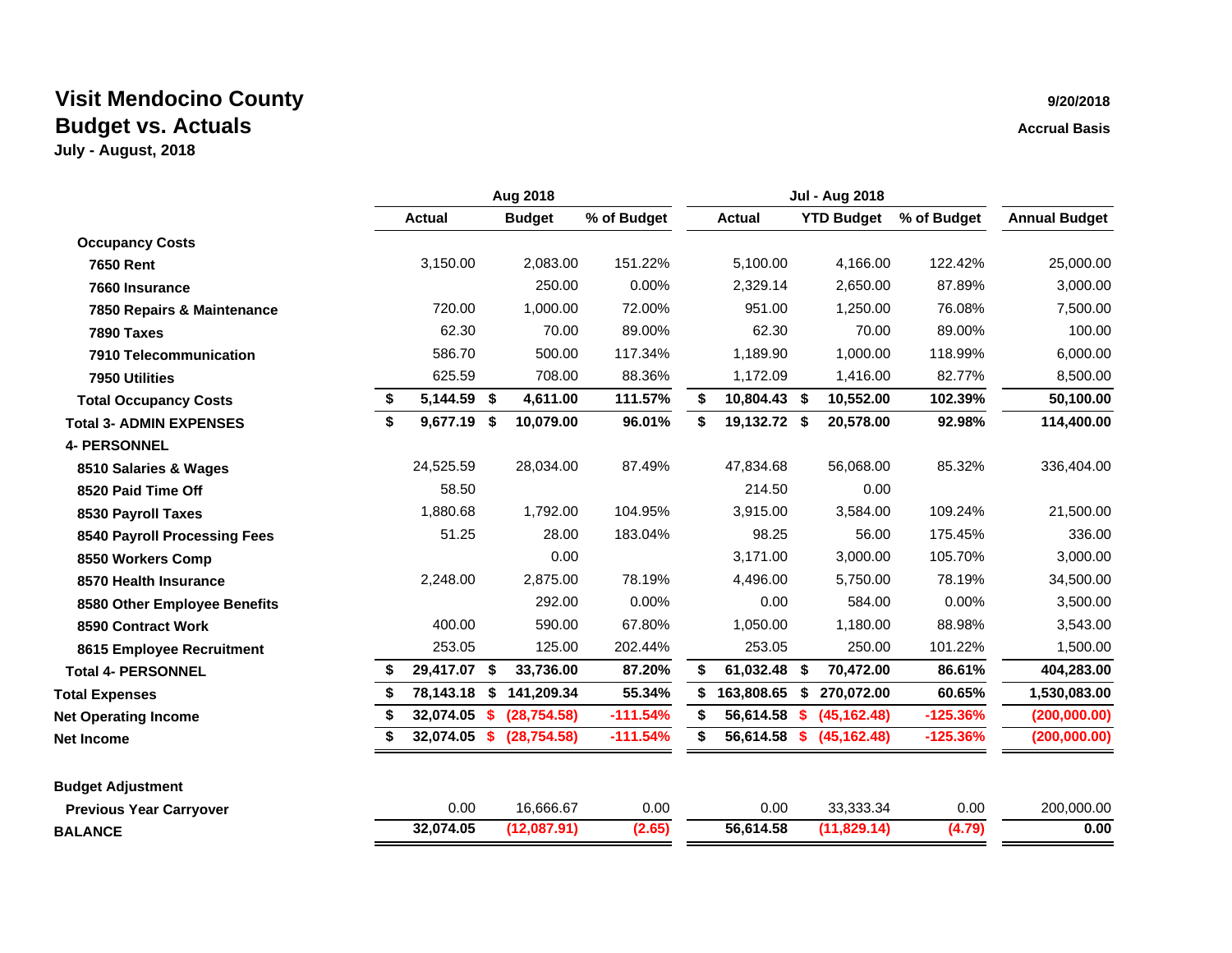|                                | Aug 2018          |     |               |             |    | <b>Jul - Aug 2018</b> |     |                   |             |                      |
|--------------------------------|-------------------|-----|---------------|-------------|----|-----------------------|-----|-------------------|-------------|----------------------|
|                                | <b>Actual</b>     |     | <b>Budget</b> | % of Budget |    | <b>Actual</b>         |     | <b>YTD Budget</b> | % of Budget | <b>Annual Budget</b> |
| <b>Occupancy Costs</b>         |                   |     |               |             |    |                       |     |                   |             |                      |
| <b>7650 Rent</b>               | 3,150.00          |     | 2,083.00      | 151.22%     |    | 5,100.00              |     | 4,166.00          | 122.42%     | 25,000.00            |
| 7660 Insurance                 |                   |     | 250.00        | 0.00%       |    | 2,329.14              |     | 2,650.00          | 87.89%      | 3,000.00             |
| 7850 Repairs & Maintenance     | 720.00            |     | 1,000.00      | 72.00%      |    | 951.00                |     | 1,250.00          | 76.08%      | 7,500.00             |
| 7890 Taxes                     | 62.30             |     | 70.00         | 89.00%      |    | 62.30                 |     | 70.00             | 89.00%      | 100.00               |
| 7910 Telecommunication         | 586.70            |     | 500.00        | 117.34%     |    | 1,189.90              |     | 1,000.00          | 118.99%     | 6,000.00             |
| 7950 Utilities                 | 625.59            |     | 708.00        | 88.36%      |    | 1,172.09              |     | 1,416.00          | 82.77%      | 8,500.00             |
| <b>Total Occupancy Costs</b>   | \$<br>5,144.59    | \$  | 4,611.00      | 111.57%     | \$ | 10,804.43 \$          |     | 10,552.00         | 102.39%     | 50,100.00            |
| <b>Total 3- ADMIN EXPENSES</b> | \$<br>9,677.19 \$ |     | 10,079.00     | 96.01%      | \$ | 19,132.72 \$          |     | 20,578.00         | 92.98%      | 114,400.00           |
| <b>4- PERSONNEL</b>            |                   |     |               |             |    |                       |     |                   |             |                      |
| 8510 Salaries & Wages          | 24,525.59         |     | 28,034.00     | 87.49%      |    | 47,834.68             |     | 56,068.00         | 85.32%      | 336,404.00           |
| 8520 Paid Time Off             | 58.50             |     |               |             |    | 214.50                |     | 0.00              |             |                      |
| 8530 Payroll Taxes             | 1,880.68          |     | 1,792.00      | 104.95%     |    | 3,915.00              |     | 3,584.00          | 109.24%     | 21,500.00            |
| 8540 Payroll Processing Fees   | 51.25             |     | 28.00         | 183.04%     |    | 98.25                 |     | 56.00             | 175.45%     | 336.00               |
| 8550 Workers Comp              |                   |     | 0.00          |             |    | 3,171.00              |     | 3,000.00          | 105.70%     | 3,000.00             |
| 8570 Health Insurance          | 2,248.00          |     | 2,875.00      | 78.19%      |    | 4,496.00              |     | 5,750.00          | 78.19%      | 34,500.00            |
| 8580 Other Employee Benefits   |                   |     | 292.00        | 0.00%       |    | 0.00                  |     | 584.00            | $0.00\%$    | 3,500.00             |
| 8590 Contract Work             | 400.00            |     | 590.00        | 67.80%      |    | 1,050.00              |     | 1,180.00          | 88.98%      | 3,543.00             |
| 8615 Employee Recruitment      | 253.05            |     | 125.00        | 202.44%     |    | 253.05                |     | 250.00            | 101.22%     | 1,500.00             |
| <b>Total 4- PERSONNEL</b>      | 29,417.07         | -\$ | 33,736.00     | 87.20%      | \$ | 61,032.48             | \$  | 70,472.00         | 86.61%      | 404,283.00           |
| <b>Total Expenses</b>          | 78,143.18         | S   | 141,209.34    | 55.34%      | S  | 163,808.65            | S   | 270,072.00        | 60.65%      | 1,530,083.00         |
| <b>Net Operating Income</b>    | 32,074.05         | -S  | (28, 754.58)  | $-111.54%$  | S  | 56,614.58             | - S | (45, 162.48)      | $-125.36%$  | (200,000.00)         |
| <b>Net Income</b>              | 32,074.05 \$      |     | (28, 754.58)  | $-111.54%$  |    | 56,614.58 \$          |     | (45, 162.48)      | $-125.36%$  | (200,000.00)         |
| <b>Budget Adjustment</b>       |                   |     |               |             |    |                       |     |                   |             |                      |
| <b>Previous Year Carryover</b> | 0.00              |     | 16,666.67     | 0.00        |    | 0.00                  |     | 33,333.34         | 0.00        | 200,000.00           |
| <b>BALANCE</b>                 | 32,074.05         |     | (12,087.91)   | (2.65)      |    | 56,614.58             |     | (11,829.14)       | (4.79)      | 0.00                 |
|                                |                   |     |               |             |    |                       |     |                   |             |                      |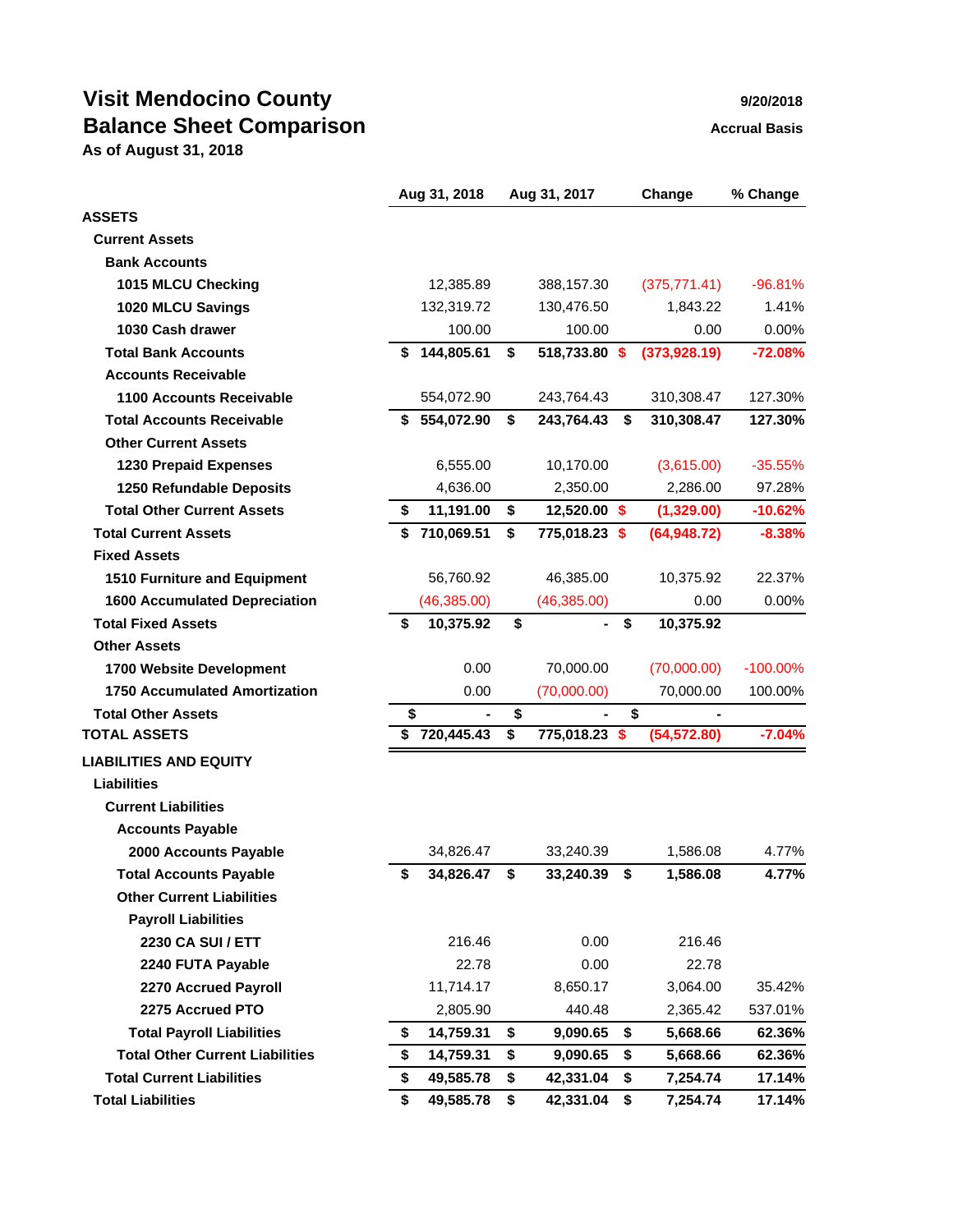# **Visit Mendocino County 1999 120/2018 Balance Sheet Comparison** Manual Basis Accrual Basis

**As of August 31, 2018**

|                                        |    | Aug 31, 2018 | Aug 31, 2017                   | Change           | % Change    |
|----------------------------------------|----|--------------|--------------------------------|------------------|-------------|
| <b>ASSETS</b>                          |    |              |                                |                  |             |
| <b>Current Assets</b>                  |    |              |                                |                  |             |
| <b>Bank Accounts</b>                   |    |              |                                |                  |             |
| 1015 MLCU Checking                     |    | 12,385.89    | 388,157.30                     | (375, 771.41)    | $-96.81%$   |
| 1020 MLCU Savings                      |    | 132,319.72   | 130,476.50                     | 1,843.22         | 1.41%       |
| 1030 Cash drawer                       |    | 100.00       | 100.00                         | 0.00             | 0.00%       |
| <b>Total Bank Accounts</b>             | \$ | 144,805.61   | \$<br>518,733.80 \$            | (373, 928.19)    | $-72.08%$   |
| <b>Accounts Receivable</b>             |    |              |                                |                  |             |
| 1100 Accounts Receivable               |    | 554,072.90   | 243,764.43                     | 310,308.47       | 127.30%     |
| <b>Total Accounts Receivable</b>       | S  | 554,072.90   | \$<br>243,764.43               | \$<br>310,308.47 | 127.30%     |
| <b>Other Current Assets</b>            |    |              |                                |                  |             |
| <b>1230 Prepaid Expenses</b>           |    | 6,555.00     | 10,170.00                      | (3,615.00)       | $-35.55%$   |
| 1250 Refundable Deposits               |    | 4,636.00     | 2,350.00                       | 2,286.00         | 97.28%      |
| <b>Total Other Current Assets</b>      | \$ | 11,191.00    | \$<br>12,520.00 \$             | (1,329.00)       | $-10.62%$   |
| <b>Total Current Assets</b>            | \$ | 710,069.51   | \$<br>775,018.23 \$            | (64, 948.72)     | $-8.38%$    |
| <b>Fixed Assets</b>                    |    |              |                                |                  |             |
| 1510 Furniture and Equipment           |    | 56,760.92    | 46,385.00                      | 10,375.92        | 22.37%      |
| <b>1600 Accumulated Depreciation</b>   |    | (46, 385.00) | (46, 385.00)                   | 0.00             | 0.00%       |
| <b>Total Fixed Assets</b>              | \$ | 10,375.92    | \$<br>$\overline{\phantom{0}}$ | \$<br>10,375.92  |             |
| <b>Other Assets</b>                    |    |              |                                |                  |             |
| 1700 Website Development               |    | 0.00         | 70,000.00                      | (70,000.00)      | $-100.00\%$ |
| <b>1750 Accumulated Amortization</b>   |    | 0.00         | (70,000.00)                    | 70,000.00        | 100.00%     |
| <b>Total Other Assets</b>              | \$ |              | \$                             | \$               |             |
| <b>TOTAL ASSETS</b>                    |    | \$720,445.43 | \$<br>775,018.23 \$            | (54, 572.80)     | $-7.04%$    |
| <b>LIABILITIES AND EQUITY</b>          |    |              |                                |                  |             |
| <b>Liabilities</b>                     |    |              |                                |                  |             |
| <b>Current Liabilities</b>             |    |              |                                |                  |             |
| <b>Accounts Payable</b>                |    |              |                                |                  |             |
| 2000 Accounts Payable                  |    | 34,826.47    | 33,240.39                      | 1,586.08         | 4.77%       |
| <b>Total Accounts Payable</b>          | \$ | 34,826.47    | \$<br>33,240.39                | \$<br>1,586.08   | 4.77%       |
| <b>Other Current Liabilities</b>       |    |              |                                |                  |             |
| <b>Payroll Liabilities</b>             |    |              |                                |                  |             |
| 2230 CA SUI / ETT                      |    | 216.46       | 0.00                           | 216.46           |             |
| 2240 FUTA Payable                      |    | 22.78        | 0.00                           | 22.78            |             |
| 2270 Accrued Payroll                   |    | 11,714.17    | 8,650.17                       | 3,064.00         | 35.42%      |
| 2275 Accrued PTO                       |    | 2,805.90     | 440.48                         | 2,365.42         | 537.01%     |
| <b>Total Payroll Liabilities</b>       | \$ | 14,759.31    | \$<br>9,090.65                 | \$<br>5,668.66   | 62.36%      |
| <b>Total Other Current Liabilities</b> | \$ | 14,759.31    | \$<br>9,090.65                 | \$<br>5,668.66   | 62.36%      |
| <b>Total Current Liabilities</b>       | \$ | 49,585.78    | \$<br>42,331.04                | \$<br>7,254.74   | 17.14%      |
| <b>Total Liabilities</b>               | \$ | 49,585.78    | \$<br>42,331.04                | \$<br>7,254.74   | 17.14%      |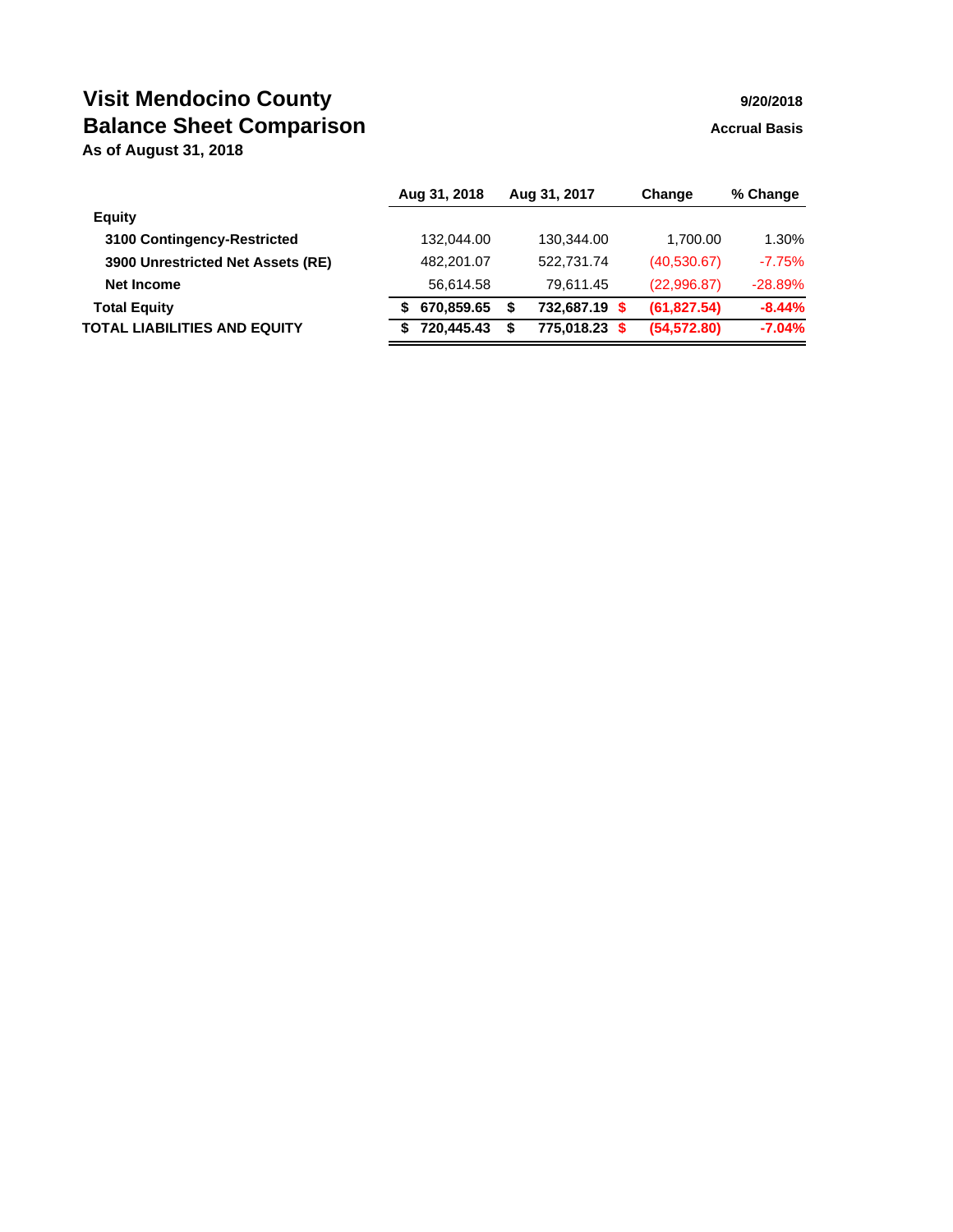# **Visit Mendocino County 1978 1979 120/2018 Balance Sheet Comparison** Manual Basis Accrual Basis

**As of August 31, 2018**

|                                     | Aug 31, 2018 |   | Aug 31, 2017 | Change       | % Change  |
|-------------------------------------|--------------|---|--------------|--------------|-----------|
| Equity                              |              |   |              |              |           |
| 3100 Contingency-Restricted         | 132.044.00   |   | 130,344.00   | 1.700.00     | 1.30%     |
| 3900 Unrestricted Net Assets (RE)   | 482.201.07   |   | 522.731.74   | (40,530.67)  | $-7.75%$  |
| Net Income                          | 56.614.58    |   | 79.611.45    | (22,996.87)  | $-28.89%$ |
| <b>Total Equity</b>                 | 670,859.65   | S | 732,687.19   | (61, 827.54) | $-8.44%$  |
| <b>TOTAL LIABILITIES AND EQUITY</b> | 720.445.43   | S | 775.018.23   | (54, 572.80) | $-7.04%$  |
|                                     |              |   |              |              |           |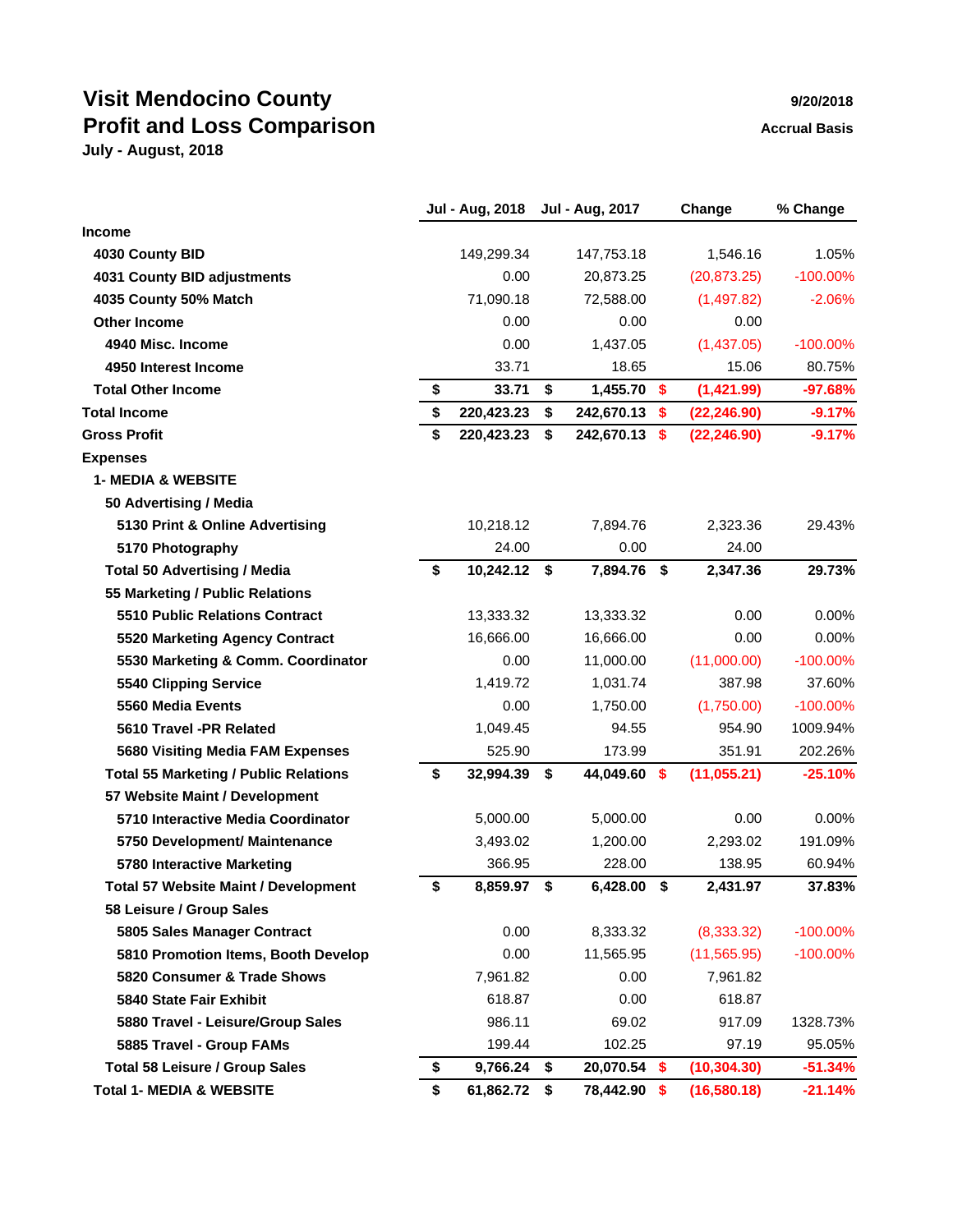# **Visit Mendocino County Profit and Loss Comparison Accrual Basis Accrual Basis**

|  | 9/20/2018 |  |
|--|-----------|--|
|  |           |  |
|  |           |  |

|                                              | Jul - Aug, 2018    | Jul - Aug, 2017     |                           | Change       | % Change    |
|----------------------------------------------|--------------------|---------------------|---------------------------|--------------|-------------|
| <b>Income</b>                                |                    |                     |                           |              |             |
| 4030 County BID                              | 149,299.34         | 147,753.18          |                           | 1,546.16     | 1.05%       |
| 4031 County BID adjustments                  | 0.00               | 20,873.25           |                           | (20, 873.25) | $-100.00\%$ |
| 4035 County 50% Match                        | 71,090.18          | 72,588.00           |                           | (1,497.82)   | $-2.06%$    |
| <b>Other Income</b>                          | 0.00               | 0.00                |                           | 0.00         |             |
| 4940 Misc. Income                            | 0.00               | 1,437.05            |                           | (1,437.05)   | $-100.00\%$ |
| 4950 Interest Income                         | 33.71              | 18.65               |                           | 15.06        | 80.75%      |
| <b>Total Other Income</b>                    | \$<br>33.71        | \$<br>1,455.70 \$   |                           | (1,421.99)   | $-97.68%$   |
| <b>Total Income</b>                          | \$<br>220,423.23   | \$<br>242,670.13    | $\boldsymbol{\mathsf{s}}$ | (22, 246.90) | $-9.17%$    |
| <b>Gross Profit</b>                          | \$<br>220,423.23   | \$<br>242,670.13 \$ |                           | (22, 246.90) | $-9.17%$    |
| <b>Expenses</b>                              |                    |                     |                           |              |             |
| <b>1- MEDIA &amp; WEBSITE</b>                |                    |                     |                           |              |             |
| 50 Advertising / Media                       |                    |                     |                           |              |             |
| 5130 Print & Online Advertising              | 10,218.12          | 7,894.76            |                           | 2,323.36     | 29.43%      |
| 5170 Photography                             | 24.00              | 0.00                |                           | 24.00        |             |
| <b>Total 50 Advertising / Media</b>          | \$<br>10,242.12 \$ | 7,894.76            | \$                        | 2,347.36     | 29.73%      |
| 55 Marketing / Public Relations              |                    |                     |                           |              |             |
| 5510 Public Relations Contract               | 13,333.32          | 13,333.32           |                           | 0.00         | 0.00%       |
| 5520 Marketing Agency Contract               | 16,666.00          | 16,666.00           |                           | 0.00         | 0.00%       |
| 5530 Marketing & Comm. Coordinator           | 0.00               | 11,000.00           |                           | (11,000.00)  | $-100.00\%$ |
| 5540 Clipping Service                        | 1,419.72           | 1,031.74            |                           | 387.98       | 37.60%      |
| 5560 Media Events                            | 0.00               | 1,750.00            |                           | (1,750.00)   | $-100.00\%$ |
| 5610 Travel -PR Related                      | 1,049.45           | 94.55               |                           | 954.90       | 1009.94%    |
| 5680 Visiting Media FAM Expenses             | 525.90             | 173.99              |                           | 351.91       | 202.26%     |
| <b>Total 55 Marketing / Public Relations</b> | \$<br>32,994.39    | \$<br>44,049.60 \$  |                           | (11,055.21)  | $-25.10%$   |
| 57 Website Maint / Development               |                    |                     |                           |              |             |
| 5710 Interactive Media Coordinator           | 5,000.00           | 5,000.00            |                           | 0.00         | 0.00%       |
| 5750 Development/ Maintenance                | 3,493.02           | 1,200.00            |                           | 2,293.02     | 191.09%     |
| 5780 Interactive Marketing                   | 366.95             | 228.00              |                           | 138.95       | 60.94%      |
| <b>Total 57 Website Maint / Development</b>  | \$<br>8,859.97     | \$<br>6,428.00      | \$                        | 2,431.97     | 37.83%      |
| 58 Leisure / Group Sales                     |                    |                     |                           |              |             |
| 5805 Sales Manager Contract                  | 0.00               | 8,333.32            |                           | (8,333.32)   | $-100.00\%$ |
| 5810 Promotion Items, Booth Develop          | 0.00               | 11,565.95           |                           | (11, 565.95) | $-100.00\%$ |
| 5820 Consumer & Trade Shows                  | 7,961.82           | 0.00                |                           | 7,961.82     |             |
| 5840 State Fair Exhibit                      | 618.87             | 0.00                |                           | 618.87       |             |
| 5880 Travel - Leisure/Group Sales            | 986.11             | 69.02               |                           | 917.09       | 1328.73%    |
| 5885 Travel - Group FAMs                     | 199.44             | 102.25              |                           | 97.19        | 95.05%      |
| <b>Total 58 Leisure / Group Sales</b>        | \$<br>9,766.24     | \$<br>20,070.54 \$  |                           | (10, 304.30) | $-51.34%$   |
| <b>Total 1- MEDIA &amp; WEBSITE</b>          | \$<br>61,862.72    | \$<br>78,442.90 \$  |                           | (16,580.18)  | $-21.14%$   |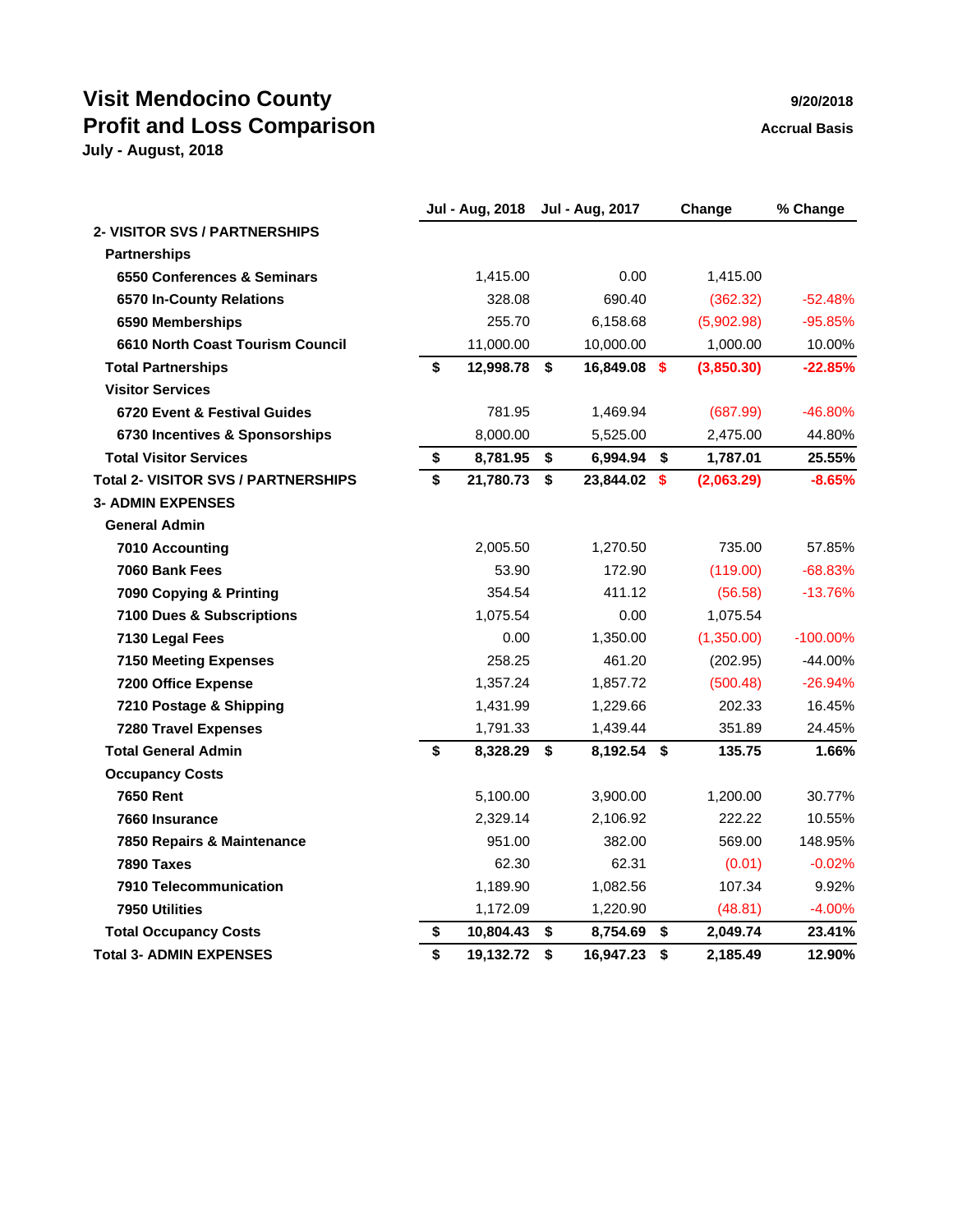# **Visit Mendocino County 1999 120/2018 Profit and Loss Comparison Accrual Basis Accrual Basis**

|                                            | <b>Jul - Aug, 2018</b> |      | Jul - Aug, 2017 | Change         | % Change    |
|--------------------------------------------|------------------------|------|-----------------|----------------|-------------|
| <b>2- VISITOR SVS / PARTNERSHIPS</b>       |                        |      |                 |                |             |
| <b>Partnerships</b>                        |                        |      |                 |                |             |
| 6550 Conferences & Seminars                | 1,415.00               |      | 0.00            | 1,415.00       |             |
| 6570 In-County Relations                   | 328.08                 |      | 690.40          | (362.32)       | $-52.48%$   |
| 6590 Memberships                           | 255.70                 |      | 6,158.68        | (5,902.98)     | $-95.85%$   |
| 6610 North Coast Tourism Council           | 11,000.00              |      | 10,000.00       | 1,000.00       | 10.00%      |
| <b>Total Partnerships</b>                  | \$<br>12,998.78        | - \$ | 16,849.08 \$    | (3,850.30)     | $-22.85%$   |
| <b>Visitor Services</b>                    |                        |      |                 |                |             |
| 6720 Event & Festival Guides               | 781.95                 |      | 1,469.94        | (687.99)       | -46.80%     |
| 6730 Incentives & Sponsorships             | 8,000.00               |      | 5,525.00        | 2,475.00       | 44.80%      |
| <b>Total Visitor Services</b>              | \$<br>8,781.95         | \$   | 6,994.94 \$     | 1,787.01       | 25.55%      |
| <b>Total 2- VISITOR SVS / PARTNERSHIPS</b> | \$<br>21,780.73        | \$   | 23,844.02 \$    | (2,063.29)     | $-8.65%$    |
| <b>3- ADMIN EXPENSES</b>                   |                        |      |                 |                |             |
| <b>General Admin</b>                       |                        |      |                 |                |             |
| 7010 Accounting                            | 2,005.50               |      | 1,270.50        | 735.00         | 57.85%      |
| 7060 Bank Fees                             | 53.90                  |      | 172.90          | (119.00)       | $-68.83%$   |
| 7090 Copying & Printing                    | 354.54                 |      | 411.12          | (56.58)        | $-13.76%$   |
| 7100 Dues & Subscriptions                  | 1,075.54               |      | 0.00            | 1,075.54       |             |
| 7130 Legal Fees                            | 0.00                   |      | 1,350.00        | (1,350.00)     | $-100.00\%$ |
| <b>7150 Meeting Expenses</b>               | 258.25                 |      | 461.20          | (202.95)       | $-44.00%$   |
| 7200 Office Expense                        | 1,357.24               |      | 1,857.72        | (500.48)       | $-26.94%$   |
| 7210 Postage & Shipping                    | 1,431.99               |      | 1,229.66        | 202.33         | 16.45%      |
| <b>7280 Travel Expenses</b>                | 1,791.33               |      | 1,439.44        | 351.89         | 24.45%      |
| <b>Total General Admin</b>                 | \$<br>8,328.29         | \$   | 8,192.54 \$     | 135.75         | 1.66%       |
| <b>Occupancy Costs</b>                     |                        |      |                 |                |             |
| <b>7650 Rent</b>                           | 5,100.00               |      | 3,900.00        | 1,200.00       | 30.77%      |
| 7660 Insurance                             | 2,329.14               |      | 2,106.92        | 222.22         | 10.55%      |
| 7850 Repairs & Maintenance                 | 951.00                 |      | 382.00          | 569.00         | 148.95%     |
| 7890 Taxes                                 | 62.30                  |      | 62.31           | (0.01)         | $-0.02\%$   |
| 7910 Telecommunication                     | 1,189.90               |      | 1,082.56        | 107.34         | 9.92%       |
| 7950 Utilities                             | 1,172.09               |      | 1,220.90        | (48.81)        | $-4.00%$    |
| <b>Total Occupancy Costs</b>               | \$<br>10,804.43        | \$   | 8,754.69        | \$<br>2,049.74 | 23.41%      |
| <b>Total 3- ADMIN EXPENSES</b>             | \$<br>19,132.72        | \$   | 16,947.23       | \$<br>2,185.49 | 12.90%      |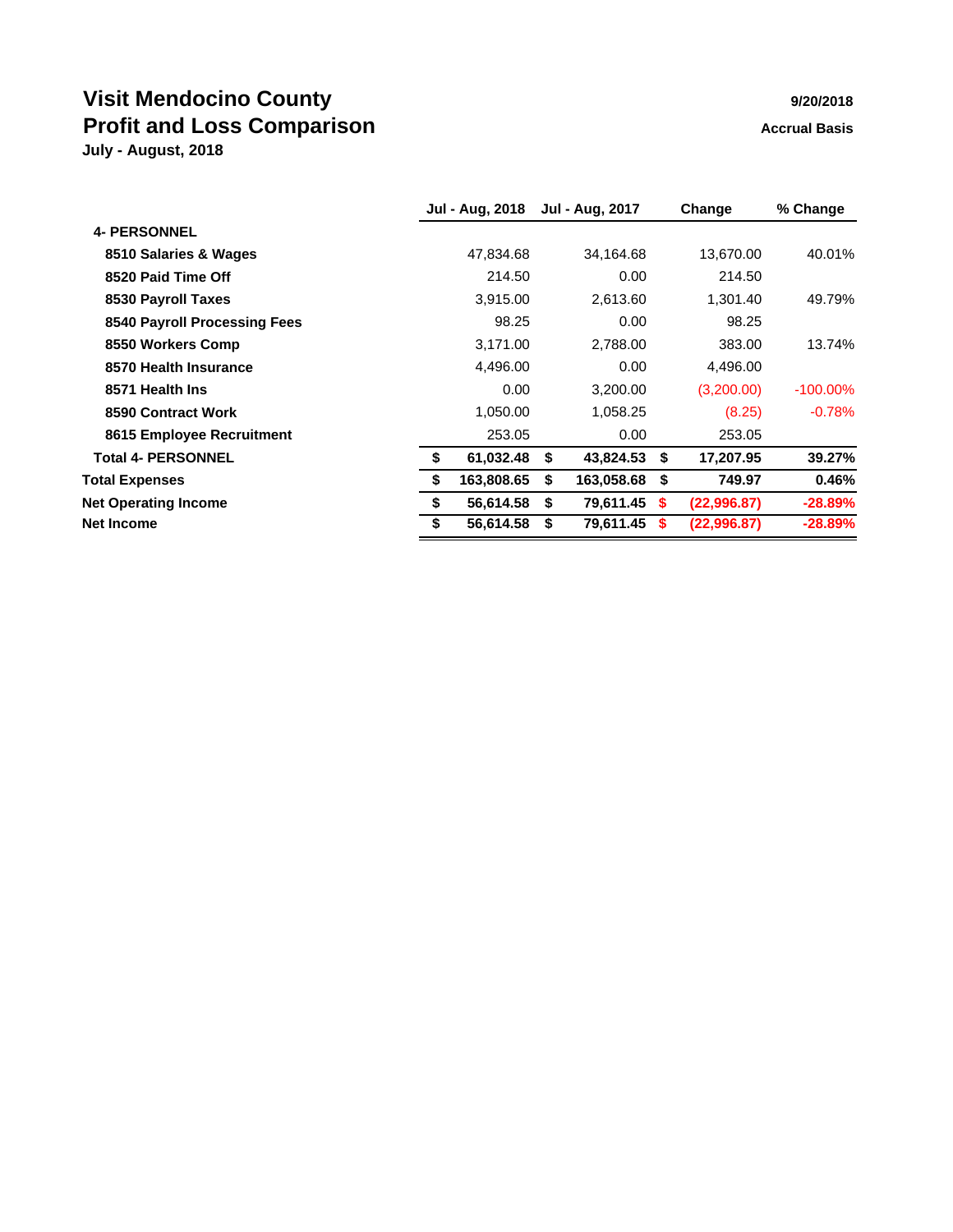# **Visit Mendocino County 1999 1999 1999 1999 1999 1999 1999 1999 1999 1999 1999 1999 1999 1999 1999 1999 1999 1999 1999 1999 1999 1999 1999 1999 1999 1999 1999 1999 Profit and Loss Comparison Accrual Basis Accrual Basis**

|  | 9/20/2018 |  |
|--|-----------|--|
|  |           |  |

|                  |                 |            |                                     | Change      | % Change    |
|------------------|-----------------|------------|-------------------------------------|-------------|-------------|
|                  |                 |            |                                     |             |             |
| 47,834.68        |                 | 34,164.68  |                                     | 13,670.00   | 40.01%      |
| 214.50           |                 | 0.00       |                                     | 214.50      |             |
| 3,915.00         |                 | 2,613.60   |                                     | 1,301.40    | 49.79%      |
| 98.25            |                 | 0.00       |                                     | 98.25       |             |
| 3,171.00         |                 | 2,788.00   |                                     | 383.00      | 13.74%      |
| 4,496.00         |                 | 0.00       |                                     | 4,496.00    |             |
| 0.00             |                 | 3,200.00   |                                     | (3,200.00)  | $-100.00\%$ |
| 1,050.00         |                 | 1,058.25   |                                     | (8.25)      | $-0.78%$    |
| 253.05           |                 | 0.00       |                                     | 253.05      |             |
| \$<br>61,032.48  | - \$            | 43,824.53  | \$                                  | 17,207.95   | 39.27%      |
| \$<br>163,808.65 | S               | 163,058.68 | - \$                                | 749.97      | 0.46%       |
| \$<br>56,614.58  | S.              |            | <b>S</b>                            | (22,996.87) | $-28.89%$   |
| 56,614.58        |                 | 79,611.45  |                                     | (22,996.87) | $-28.89\%$  |
|                  | Jul - Aug, 2018 |            | <b>Jul - Aug, 2017</b><br>79,611.45 |             |             |